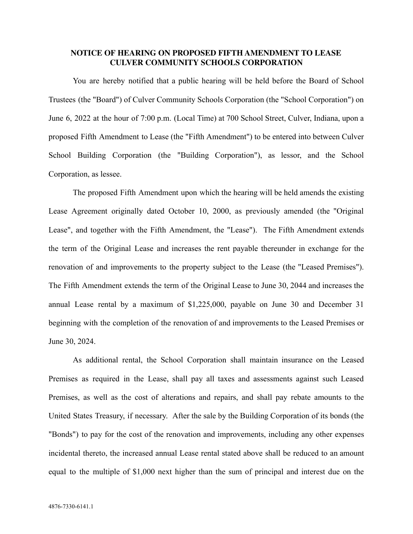## **NOTICE OF HEARING ON PROPOSED FIFTH AMENDMENT TO LEASE CULVER COMMUNITY SCHOOLS CORPORATION**

You are hereby notified that a public hearing will be held before the Board of School Trustees (the "Board") of Culver Community Schools Corporation (the "School Corporation") on June 6, 2022 at the hour of 7:00 p.m. (Local Time) at 700 School Street, Culver, Indiana, upon a proposed Fifth Amendment to Lease (the "Fifth Amendment") to be entered into between Culver School Building Corporation (the "Building Corporation"), as lessor, and the School Corporation, as lessee.

The proposed Fifth Amendment upon which the hearing will be held amends the existing Lease Agreement originally dated October 10, 2000, as previously amended (the "Original Lease", and together with the Fifth Amendment, the "Lease"). The Fifth Amendment extends the term of the Original Lease and increases the rent payable thereunder in exchange for the renovation of and improvements to the property subject to the Lease (the "Leased Premises"). The Fifth Amendment extends the term of the Original Lease to June 30, 2044 and increases the annual Lease rental by a maximum of \$1,225,000, payable on June 30 and December 31 beginning with the completion of the renovation of and improvements to the Leased Premises or June 30, 2024.

As additional rental, the School Corporation shall maintain insurance on the Leased Premises as required in the Lease, shall pay all taxes and assessments against such Leased Premises, as well as the cost of alterations and repairs, and shall pay rebate amounts to the United States Treasury, if necessary. After the sale by the Building Corporation of its bonds (the "Bonds") to pay for the cost of the renovation and improvements, including any other expenses incidental thereto, the increased annual Lease rental stated above shall be reduced to an amount equal to the multiple of \$1,000 next higher than the sum of principal and interest due on the